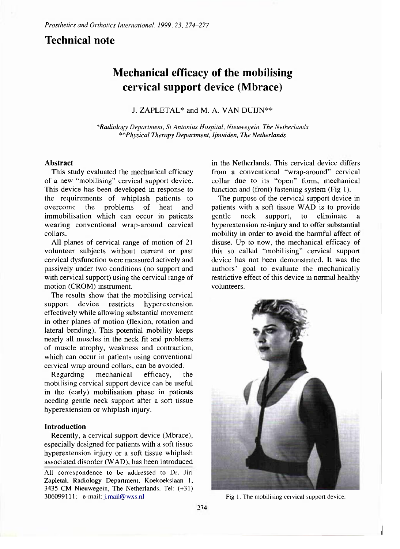## **Technical note**

# **Mechanical efficacy of the mobilising cervical support device (Mbrace)**

J. ZAPLETAL\* and M. A. VAN DUIJN\*\*

*\*Radiology Department, St Antonius Hospital, Nieuwegein, The Netherlands \*\*Physical Therapy Department, Ijmuiden, The Netherlands* 

#### **Abstract**

This study evaluated the mechanical efficacy of a new "mobilising" cervical support device. This device has been developed in response to the requirements of whiplash patients to overcome the problems of heat and immobilisation which can occur in patients wearing conventional wrap-around cervical collars.

All planes of cervical range of motion of **21**  volunteer subjects without current or past cervical dysfunction were measured actively and passively under two conditions (no support and with cervical support) using the cervical range of motion (CROM) instrument.

The results show that the mobilising cervical support device restricts hyperextension effectively while allowing substantial movement in other planes of motion (flexion, rotation and lateral bending). This potential mobility keeps nearly all muscles in the neck fit and problems of muscle atrophy, weakness and contraction, which can occur in patients using conventional cervical wrap around collars, can be avoided.

Regarding mechanical efficacy, the mobilising cervical support device can be useful in the (early) mobilisation phase in patients needing gentle neck support after a soft tissue hyperextension or whiplash injury.

#### **Introduction**

Recently, a cervical support device (Mbrace), especially designed for patients with a soft tissue hyperextension injury or a soft tissue whiplash associated disorder (WAD), has been introduced

in the Netherlands. This cervical device differs from a conventional "wrap-around" cervical collar due to its "open" form, mechanical function and (front) fastening system (Fig **1).** 

The purpose of the cervical support device in patients with a soft tissue WAD is to provide gentle neck support, to eliminate hyperextension re-injury and to offer substantial mobility in order to avoid the harmful affect of disuse. Up to now, the mechanical efficacy of this so called "mobilising" cervical support device has not been demonstrated. It was the authors' goal to evaluate the mechanically restrictive effect of this device in normal healthy volunteers.



Fig 1. The mobilising cervical support device.

**All correspondence to be addressed to Dr. Jiri Zapletal, Radiology Department, Koekoekslaan 1, 3435 CM Nieuwegein, The Netherlands. Tel: (+31) 3060991**11; **e-mail: [j.mail@wxs.nl](mailto:j.mail@wxs.nl)**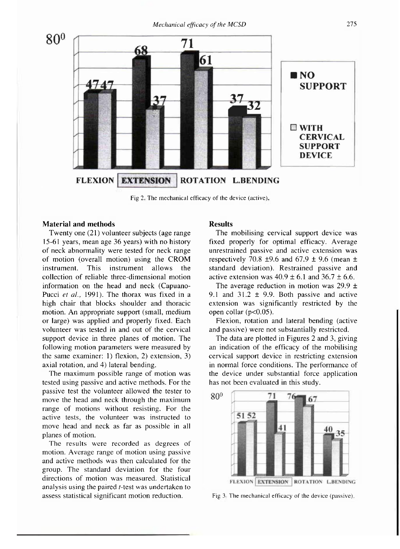

Fig 2. The mechanical efficacy of the device (active)

#### **Material and methods**

Twenty one (21) volunteer subjects (age range 15-61 years, mean age 36 years) with no history of neck abnormality were tested for neck range of motion (overall motion) using the CROM instrument. This instrument allows the collection of reliable three-dimensional motion information on the head and neck (Capuano-Pucci *et al.,* 1991). The thorax was fixed in a high chair that blocks shoulder and thoracic motion. An appropriate support (small, medium or large) was applied and properly fixed. Each volunteer was tested in and out of the cervical support device in three planes of motion. The following motion parameters were measured by the same examiner: 1) flexion, 2) extension, 3) axial rotation, and 4) lateral bending.

The maximum possible range of motion was tested using passive and active methods. For the passive test the volunteer allowed the tester to move the head and neck through the maximum range of motions without resisting. For the active tests, the volunteer was instructed to move head and neck as far as possible in all planes of motion.

The results were recorded as degrees of motion. Average range of motion using passive and active methods was then calculated for the group. The standard deviation for the four directions of motion was measured. Statistical analysis using the paired *t*-test was undertaken to assess statistical significant motion reduction.

### **Results**

The mobilising cervical support device was fixed properly for optimal efficacy. Average unrestrained passive and active extension was respectively 70.8  $\pm$ 9.6 and 67.9  $\pm$  9.6 (mean  $\pm$ standard deviation). Restrained passive and active extension was  $40.9 \pm 6.1$  and  $36.7 \pm 6.6$ .

The average reduction in motion was  $29.9 \pm$ 9.1 and  $31.2 \pm 9.9$ . Both passive and active extension was significantly restricted by the open collar (p<0.05).

Flexion, rotation and lateral bending (active and passive) were not substantially restricted.

The data are plotted in Figures 2 and 3, giving an indication of the efficacy of the mobilising cervical support device in restricting extension in normal force conditions. The performance of the device under substantial force application has not been evaluated in this study.



Fig 3 The mechanical efficacy of the device (passive).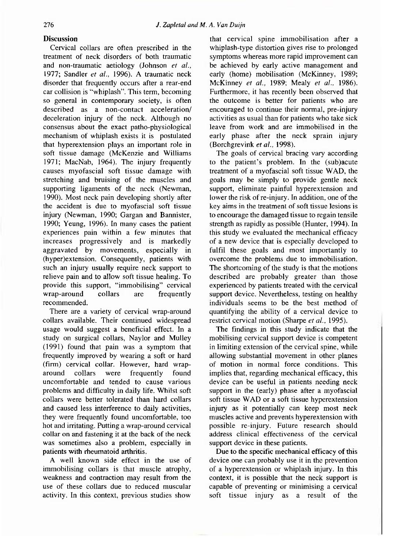## **Discussion**

Cervical collars are often prescribed in the treatment of neck disorders of both traumatic and non-traumatic aetiology (Johnson *et al.,*  1977; Sandler *et al.,* 1996). A traumatic neck disorder that frequcntly occurs after a rear-end car collision is "whiplash". This term, becoming so general in contemporary society, is often described as a non-contact acceleration/ deceleration injury of the neck. Although no consensus about the exact patho-physiological mechanism of whiplash exists it is postulated that hyperextension plays an important role in soft tissue damage (McKenzie and Williams 1971; MacNab, 1964). The injury frequently causes myofascial soft tissue damage with stretching and bruising of the muscles and supporting ligaments of the neck (Newman, 1990). Most neck pain developing shortly after the accident is due to myofascial soft tissue injury (Newman, 1990; Gargan and Bannister, 1990; Yeung, 1996). In many cases the patient experiences pain within a few minutes that increases progressively and is markedly aggravated by movements, especially in (hyper)extension. Consequently, patients with such an injury usually require neck support to relieve pain and to allow soft tissue healing. To provide this support, "immobilising" cervical wrap-around collars are frequently recommended.

There are a variety of cervical wrap-around collars available. Their continued widespread usage would suggest a beneficial effect. In a study on surgical collars, Naylor and Mulley (1991) found that pain was a symptom that frequently improved by wearing a soft or hard (firm) cervical collar. However, hard wraparound collars were frequently found uncomfortable and tended to cause various problems and difficulty in daily life. Whilst soft collars were better tolerated than hard collars and caused less interference to daily activities, they were frequently found uncomfortable, too hot and irritating. Putting a wrap-around cervical collar on and fastening it at the back of the neck was sometimes also a problem, especially in patients with rheumatoid arthritis.

A well known side effect in the use of immobilising collars is that muscle atrophy, weakness and contraction may result from the use of these collars due to reduced muscular activity. In this context, previous studies show

that cervical spine immobilisation after a whiplash-type distortion gives rise to prolonged symptoms whereas more rapid improvement can be achieved by early active management and early (home) mobilisation (McKinney, 1989; McKinney *et al.,* 1989; Mealy *et al.,* 1986). Furthermore, it has recently been observed that the outcome is better for patients who are encouraged to continue their normal, pre-injury activities as usual than for patients who take sick leave from work and are immobilised in the early phase after the neck sprain injury (Borchgrevink *et al.,* 1998).

The goals of cervical bracing vary according to the patient's problem. In the (sub)acute treatment of a myofascial soft tissue WAD, the goals may be simply to provide gentle neck support, eliminate painful hyperextension and lower the risk of re-injury. In addition, one of the key aims in the treatment of soft tissue lesions is to encourage the damaged tissue to regain tensile strength as rapidly as possible (Hunter, 1994). In this study we evaluated the mechanical efficacy of a new device that is especially developed to fulfil these goals and most importantly to overcome the problems due to immobilisation. The shortcoming of the study is that the motions described are probably greater than those experienced by patients treated with the cervical support device. Nevertheless, testing on healthy individuals seems to be the best method of quantifying the ability of a cervical device to restrict cervical motion (Sharpe *et al.,* 1995).

The findings in this study indicate that the mobilising cervical support device is competent in limiting extension of the cervical spine, while allowing substantial movement in other planes of motion in normal force conditions. This implies that, regarding mechanical efficacy, this device can be useful in patients needing neck support in the (early) phase after a myofascial soft tissue WAD or a soft tissue hyperextension injury as it potentially can keep most neck muscles active and prevents hyperextension with possible re-injury. Future research should address clinical effectiveness of the cervical support device in these patients.

Due to the specific mechanical efficacy of this device one can probably use it in the prevention of a hyperextension or whiplash injury. In this context, it is possible that the neck support is capable of preventing or minimising a cervical soft tissue injury as a result of the